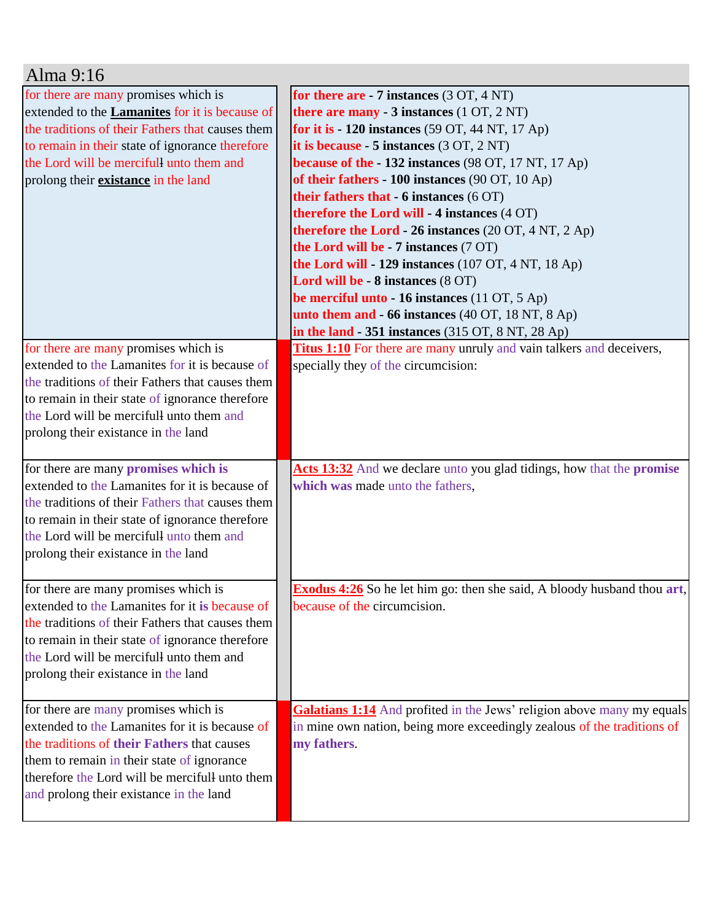| Alma 9:16                                             |                                                                                |
|-------------------------------------------------------|--------------------------------------------------------------------------------|
| for there are many promises which is                  | for there are - 7 instances $(3 OT, 4 NT)$                                     |
| extended to the <b>Lamanites</b> for it is because of | there are many $-3$ instances $(1 OT, 2 NT)$                                   |
| the traditions of their Fathers that causes them      | for it is $-120$ instances (59 OT, 44 NT, 17 Ap)                               |
| to remain in their state of ignorance therefore       | it is because - $5$ instances $(3 OT, 2 NT)$                                   |
| the Lord will be mercifull unto them and              | because of the $-132$ instances (98 OT, 17 NT, 17 Ap)                          |
| prolong their <b>existance</b> in the land            | of their fathers - $100$ instances (90 OT, 10 Ap)                              |
|                                                       | their fathers that - 6 instances (6 OT)                                        |
|                                                       | therefore the Lord will - 4 instances (4 OT)                                   |
|                                                       | <b>therefore the Lord - 26 instances</b> $(20 OT, 4 NT, 2 Ap)$                 |
|                                                       | the Lord will be - 7 instances (7 OT)                                          |
|                                                       | the Lord will - 129 instances $(107 \text{ OT}, 4 \text{ NT}, 18 \text{ Ap})$  |
|                                                       | Lord will be - 8 instances (8 OT)                                              |
|                                                       | be merciful unto - 16 instances (11 OT, 5 Ap)                                  |
|                                                       | unto them and - 66 instances (40 OT, 18 NT, 8 Ap)                              |
|                                                       | in the land - 351 instances (315 OT, 8 NT, 28 Ap)                              |
| for there are many promises which is                  | <b>Titus 1:10</b> For there are many unruly and vain talkers and deceivers,    |
| extended to the Lamanites for it is because of        | specially they of the circumcision:                                            |
| the traditions of their Fathers that causes them      |                                                                                |
| to remain in their state of ignorance therefore       |                                                                                |
| the Lord will be mercifull unto them and              |                                                                                |
| prolong their existance in the land                   |                                                                                |
| for there are many promises which is                  | Acts 13:32 And we declare unto you glad tidings, how that the promise          |
| extended to the Lamanites for it is because of        | which was made unto the fathers,                                               |
| the traditions of their Fathers that causes them      |                                                                                |
| to remain in their state of ignorance therefore       |                                                                                |
| the Lord will be mercifull unto them and              |                                                                                |
| prolong their existance in the land                   |                                                                                |
|                                                       |                                                                                |
| for there are many promises which is                  | <b>Exodus 4:26</b> So he let him go: then she said, A bloody husband thou art, |
| extended to the Lamanites for it is because of        | because of the circumcision.                                                   |
| the traditions of their Fathers that causes them      |                                                                                |
| to remain in their state of ignorance therefore       |                                                                                |
| the Lord will be mercifull unto them and              |                                                                                |
| prolong their existance in the land                   |                                                                                |
|                                                       |                                                                                |
| for there are many promises which is                  | Galatians 1:14 And profited in the Jews' religion above many my equals         |
| extended to the Lamanites for it is because of        | in mine own nation, being more exceedingly zealous of the traditions of        |
| the traditions of their Fathers that causes           | my fathers.                                                                    |
| them to remain in their state of ignorance            |                                                                                |
| therefore the Lord will be mercifull unto them        |                                                                                |
| and prolong their existance in the land               |                                                                                |
|                                                       |                                                                                |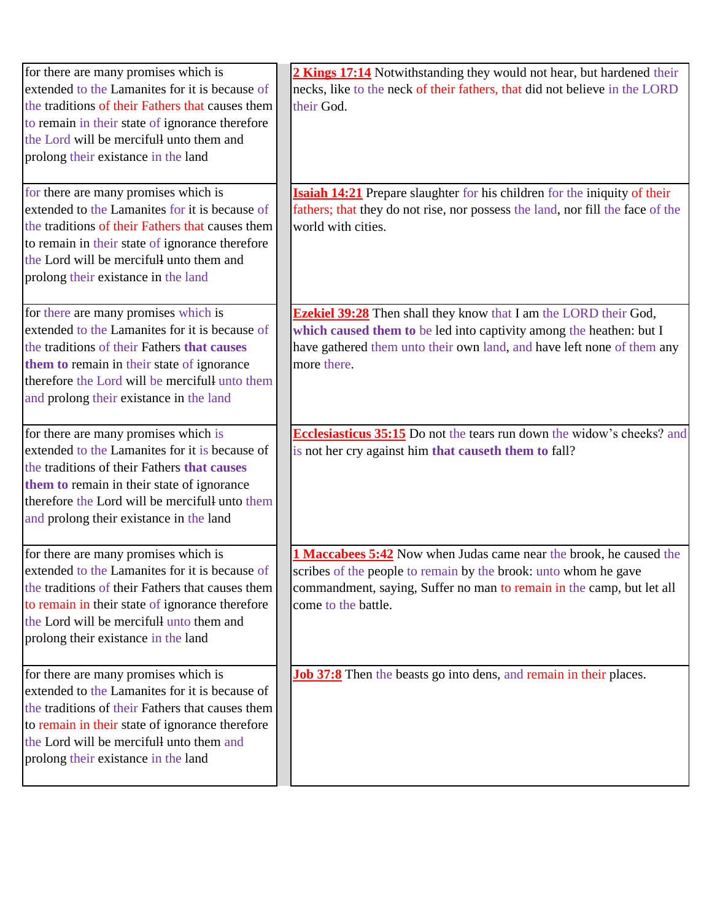| for there are many promises which is             | 2 Kings 17:14 Notwithstanding they would not hear, but hardened their            |
|--------------------------------------------------|----------------------------------------------------------------------------------|
| extended to the Lamanites for it is because of   | necks, like to the neck of their fathers, that did not believe in the LORD       |
| the traditions of their Fathers that causes them | their God.                                                                       |
| to remain in their state of ignorance therefore  |                                                                                  |
| the Lord will be mercifull unto them and         |                                                                                  |
| prolong their existance in the land              |                                                                                  |
|                                                  |                                                                                  |
| for there are many promises which is             | <b>Isaiah 14:21</b> Prepare slaughter for his children for the iniquity of their |
| extended to the Lamanites for it is because of   | fathers; that they do not rise, nor possess the land, nor fill the face of the   |
| the traditions of their Fathers that causes them | world with cities.                                                               |
| to remain in their state of ignorance therefore  |                                                                                  |
| the Lord will be mercifull unto them and         |                                                                                  |
| prolong their existance in the land              |                                                                                  |
| for there are many promises which is             | <b>Ezekiel 39:28</b> Then shall they know that I am the LORD their God,          |
| extended to the Lamanites for it is because of   | which caused them to be led into captivity among the heathen: but I              |
| the traditions of their Fathers that causes      | have gathered them unto their own land, and have left none of them any           |
| them to remain in their state of ignorance       | more there.                                                                      |
| therefore the Lord will be mercifull unto them   |                                                                                  |
| and prolong their existance in the land          |                                                                                  |
|                                                  |                                                                                  |
| for there are many promises which is             | <b>Ecclesiasticus 35:15</b> Do not the tears run down the widow's cheeks? and    |
| extended to the Lamanites for it is because of   | is not her cry against him that causeth them to fall?                            |
| the traditions of their Fathers that causes      |                                                                                  |
| them to remain in their state of ignorance       |                                                                                  |
| therefore the Lord will be mercifull unto them   |                                                                                  |
| and prolong their existance in the land          |                                                                                  |
|                                                  |                                                                                  |
| for there are many promises which is             | 1 Maccabees 5:42 Now when Judas came near the brook, he caused the               |
| extended to the Lamanites for it is because of   | scribes of the people to remain by the brook: unto whom he gave                  |
| the traditions of their Fathers that causes them | commandment, saying, Suffer no man to remain in the camp, but let all            |
| to remain in their state of ignorance therefore  | come to the battle.                                                              |
| the Lord will be mercifull unto them and         |                                                                                  |
| prolong their existance in the land              |                                                                                  |
| for there are many promises which is             | <b>Job 37:8</b> Then the beasts go into dens, and remain in their places.        |
| extended to the Lamanites for it is because of   |                                                                                  |
| the traditions of their Fathers that causes them |                                                                                  |
| to remain in their state of ignorance therefore  |                                                                                  |
| the Lord will be mercifull unto them and         |                                                                                  |
| prolong their existance in the land              |                                                                                  |
|                                                  |                                                                                  |